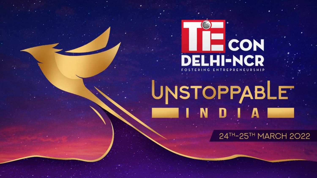

# UNSTOPPABLE

24TH-25TH MARCH 2022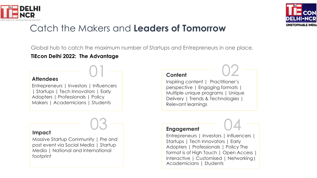



# Catch the Makers and **Leaders of Tomorrow**

Global hub to catch the maximum number of Startups and Entrepreneurs in one place.

#### **TiEcon Delhi 2022: The Advantage**

#### **Attendees**

Entrepreneurs | Investors | Influencers | Startups | Tech Innovators | Early Adopters | Professionals | Policy Makers | Academicians | Students



#### **Impact**

Massive Startup Community | Pre and post event via Social Media | Startup Media | National and International footprint

# 01 **Content**

Inspiring content | Practitioner's perspective | Engaging formats | Multiple unique programs | Unique Delivery | Trends & Technologies Relevant learnings



02

Entrepreneurs | Investors | Influencers | Startups | Tech Innovators | Early Adopters | Professionals | Policy The format is of High Touch | Open Access | Interactive | Customised | Networking| Academicians | Students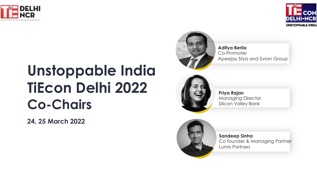



# **Unstoppable India TiEcon Delhi 2022 Co-Chairs**

**24, 25 March 2022**



**Aditya Berlia**  Co-Promoter Apeejay Stya and Svran Group



**Priya Rajan**  Managing Director Silicon Valley Bank



**Sandeep Sinha** Co founder & Managing Partner Lumis Partners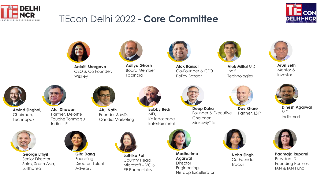

## TiEcon Delhi 2022 - **Core Committee**





**Aakriti Bhargava**  CEO & Co Founder, Wizikey



**Aditya Ghosh**  Board Member **Fabindia** 



**Alok Bansal** Co-Founder & CFO Policy Bazaar



Indifi

**Arun Seth** Mentor & Investor



**Arvind Singhal,**  Chairman, Technopak



**Atul Dhawan**  Partner, Deloitte Touche Tohmatsu India LLP



**Atul Nath** Founder & MD, Candid Marketing

**Bobby Bedi** MD, Kaliedoscope **Entertainment** 



**Deep Kalra** Founder & Executive Chairman, MakeMyTrip





**Alok Mittal** MD,

**Technologies** 



**Dev Khare**  Partner, LSIP



**Dinesh Agarwal**  MD Indiamart



**George Ettiyil** Senior Director Sales, South Asia, Lufthansa



**Gita Dang** Founding Director, Talent Advisory



**Lathika Pai**  Country Head, Microsoft – VC & PE Partnerships



**Madhurima Agarwal Director** Engineering, Netapp Excellerator



**Neha Singh**  Co-Founder Tracxn



**Padmaja Ruparel** President & Founding Partner, IAN & IAN Fund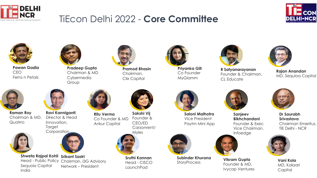

## TiEcon Delhi 2022 - **Core Committee**





**Pawan Gadia** CEO Ferns n Petals



**Pradeep Gupta**  Chairman & MD Cybermedia Group



**Pramod Bhasin**  Chairman, Clix Capital



**Priyanka Gill**  Co Founder MyGlamm



**R Satyanarayanan**  Founder & Chairman, CL Educate



**Rajan Anandan**  MD, Sequioa Capital



**Raman Roy** Chairman & MD, **Quatrro** 



India

**Ravi Kanniganti** Director & Head Innovation,

**Corporation** 

**Shweta Rajpal Kohli Srikant Sastri**

Sequoia Capital

Head - Public Policy Chairman, i3G Advisory



**Target** 



Network – President

**Ritu Verma** Co Founder & MD Ankur Capital



**Sakshi Vij** Founder & CEO/ED Carzonrent/ Myles



**Sruthi Kannan** Head - CISCO LaunchPad



**Saloni Malhotra** Vice President Paytm Mini App



**Subinder Khurana Subinger Knurand Vikram Gupta**<br>StoryProcess **Equader 8 MD** 



**Sanjeev Bikhchandani**  Founder & Exec Vice Chairman,



Founder & MD, Ivycap Ventures



**Dr Saurabh Srivastava** Chairman Emeritus, TiE Delhi - NCR



**Vani Kola** MD, Kalaari **Capital** 







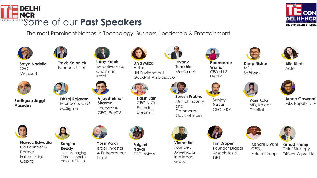

The most Prominent Names in Technology, Business, Leadership & Entertainment



**Satya Nadella**  CEO **Microsoft** 



**Sadhguru Jaggi Vasudev**







**Travis Kalanick** Founder, Uber

**Dhiraj Rajaram** Founder & CEO MuSigma



**Uday Kotak** Executive Vice Chairman, Kotak



**Vijayshekhar Sharma** Founder & CEO, PayTM

Israel

**Harsh Jain**  CEO & Co-Founder, Dream<sub>11</sub>

**Diya Mirza** Actor,

UN Environment



Goodwill Ambassador **Turakhia** Media.net



**Suresh Prabhu**  Min. of Industry and Commerce, Govt. of India



**Warrior** CEO of US, **NextEV** 

> **Sanjay Nayar** CEO, KKR



**Alia Bhatt** Actor

**UNSTOPPABLE INDIA** 

**Deep Nishar** MD, SoftBank



**Vani Kola** MD, Kalaari **Capital** 



**Arnab Goswami** MD, Republic TV



**Navroz Udwadia**  Co Founder & **Partner** Falcon Edge **Capital** 



**Sangita Reddy** Joint Managing Director, Apollo Hospital Group



**Falguni Nayar** CEO, Nykaa **Yossi Vardi** Israeli Investor & Entrepreneur,



**Vineet Rai** Founder, Aavishkaar Intellecap Group



**Tim Draper** Founder Draper Associates & DFJ





**Kishore Biyani** CEO, Future Group





**Rishad Premji** Chief Strategy Officer Wipro Ltd





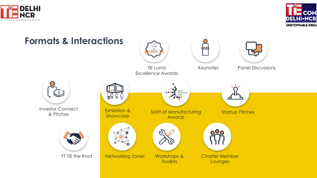



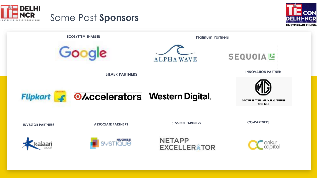



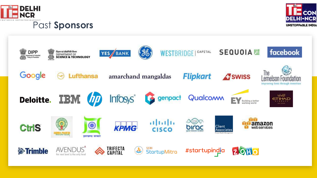



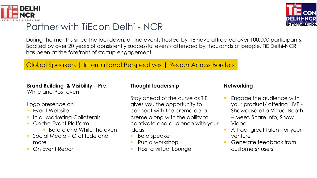

# Partner with TiEcon Delhi - NCR

During the months since the lockdown, online events hosted by TiE have attracted over 100,000 participants. Backed by over 20 years of consistently successful events attended by thousands of people, TiE Delhi-NCR, has been at the forefront of startup engagement.

#### Global Speakers | International Perspectives | Reach Across Borders

#### **Brand Building & Visibility –** Pre, While and Post event

#### Logo presence on

- Fvent Website
- § In all Marketing Collaterals
- § On the Event Platform
	- Before and While the event
- § Social Media Gratitude and more
- § On Event Report

#### **Thought leadership**

Stay ahead of the curve as TIE gives you the opportunity to connect with the crème de la crème along with the ability to captivate and audience with your ideas.

- Be a speaker
- § Run a workshop
- § Host a virtual Lounge

#### **Networking**

- § Engage the audience with your product/ offering LIVE - Showcase at a Virtual Booth – Meet, Share Info, Show Video
- § Attract great talent for your venture
- § Generate feedback from customers/ users

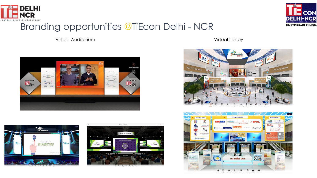

## Branding opportunities @TiEcon Delhi - NCR

Virtual Auditorium Virtual Lobby











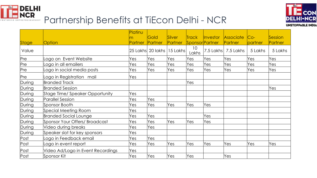



# Partnership Benefits at TiEcon Delhi - NCR

|        |                                   | Platinu        |                   |                |                 |          |                     |         |         |
|--------|-----------------------------------|----------------|-------------------|----------------|-----------------|----------|---------------------|---------|---------|
|        |                                   | m              | <b>Gold</b>       | Silver         | <b>Track</b>    | Investor | Associate           | $Co-$   | Session |
| Stage  | <b>Option</b>                     | <b>Partner</b> | Partner           | <b>Partner</b> | Sponsor Partner |          | Partner             | partner | Partner |
| Value  |                                   |                | 25 Lakhs 20 lakhs | $ 15$ Lakhs    | 10<br>Lakhs     |          | 7.5 Lakhs 7.5 Lakhs | 5 Lakhs | 5 Lakhs |
| Pre    | Logo on Event Website             | Yes            | Yes               | Yes            | Yes             | Yes      | Yes                 | Yes     | Yes     |
| Pre    | Logo in all emailers              | Yes            | Yes               | Yes            | Yes             | Yes      | Yes                 | Yes     | Yes     |
| Pre    | Logo in social media posts        | Yes            | Yes               | Yes            | Yes             | Yes      | Yes                 | Yes     | Yes     |
| Pre    | Logo in Registration mail         | Yes            |                   |                |                 |          |                     |         |         |
| During | <b>Branded Track</b>              |                |                   |                | Yes             |          |                     |         |         |
| During | <b>Branded Session</b>            |                |                   |                |                 |          |                     |         | Yes     |
| During | Stage Time/ Speaker Opportunity   | Yes            |                   |                |                 |          |                     |         |         |
| During | <b>Parallel Session</b>           | Yes            | Yes               |                |                 |          |                     |         |         |
| During | Sponsor Booth                     | Yes            | Yes               | Yes            | Yes             | Yes      |                     |         |         |
| During | Special Meeting Room              | Yes            |                   |                |                 |          |                     |         |         |
| During | <b>Branded Social Lounge</b>      | Yes            | Yes               |                |                 | Yes      |                     |         |         |
| During | Sponsor Your Offers/ Broadcast    | Yes            | Yes               | Yes            | Yes             | Yes      |                     |         |         |
| During | Video during breaks               | Yes            | Yes               |                |                 |          |                     |         |         |
| During | Speaker slot for key sponsors     | Yes            |                   |                |                 |          |                     |         |         |
| Post   | Logo in Feedback email            | Yes            | Yes               |                |                 |          |                     |         |         |
| Post   | Logo in event report              | Yes            | Yes               | Yes            | Yes             | Yes      | Yes                 | Yes     | Yes     |
| Post   | Video Ad/Logo in Event Recordings | Yes            |                   |                |                 |          |                     |         |         |
| Post   | Sponsor Kit                       | Yes            | Yes               | Yes            | Yes             |          | Yes                 |         |         |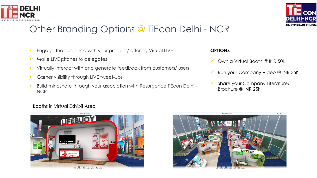

# Other Branding Options @ TiEcon Delhi - NCR

- § Engage the audience with your product/ offering Virtual LIVE
- **Make LIVE pitches to delegates**
- Virtually interact with and generate feedback from customers/ users
- **Garner visibility through LIVE tweet-ups**
- § Build mindshare through your association with Resurgence TiEcon Delhi **NCR**

#### **OPTIONS**

- ü Own a Virtual Booth @ INR 50K
- Run your Company Video @ INR 35K
- Share your Company Literature/ Brochure @ INR 25k

#### Booths in Virtual Exhibit Area





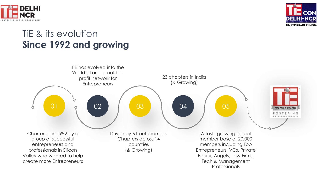



# TiE & its evolution **Since 1992 and growing**